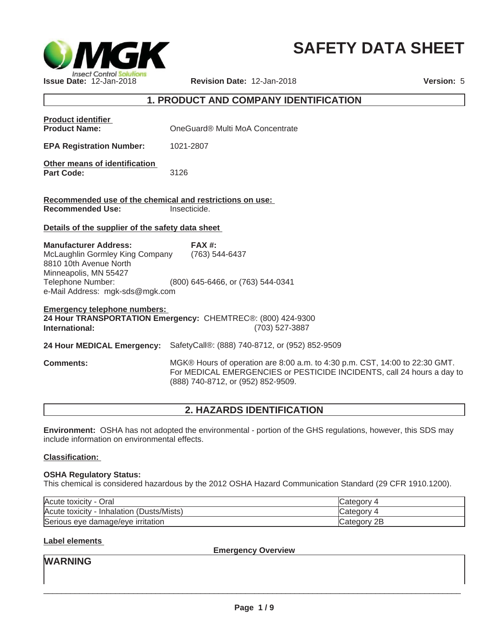

# **SAFETY DATA SHEET**

### **1. PRODUCT AND COMPANY IDENTIFICATION**

| <b>Product identifier</b><br><b>Product Name:</b>                                                                                                                          | OneGuard® Multi MoA Concentrate                                                                                                                                                             |
|----------------------------------------------------------------------------------------------------------------------------------------------------------------------------|---------------------------------------------------------------------------------------------------------------------------------------------------------------------------------------------|
| <b>EPA Registration Number:</b>                                                                                                                                            | 1021-2807                                                                                                                                                                                   |
| Other means of identification<br><b>Part Code:</b>                                                                                                                         | 3126                                                                                                                                                                                        |
| Recommended use of the chemical and restrictions on use:<br><b>Recommended Use:</b>                                                                                        | Insecticide.                                                                                                                                                                                |
| Details of the supplier of the safety data sheet                                                                                                                           |                                                                                                                                                                                             |
| <b>Manufacturer Address:</b><br>McLaughlin Gormley King Company<br>8810 10th Avenue North<br>Minneapolis, MN 55427<br>Telephone Number:<br>e-Mail Address: mgk-sds@mgk.com | FAX#<br>(763) 544-6437<br>(800) 645-6466, or (763) 544-0341                                                                                                                                 |
| <b>Emergency telephone numbers:</b><br>International:                                                                                                                      | 24 Hour TRANSPORTATION Emergency: CHEMTREC®: (800) 424-9300<br>(703) 527-3887                                                                                                               |
| 24 Hour MEDICAL Emergency:                                                                                                                                                 | SafetyCall®: (888) 740-8712, or (952) 852-9509                                                                                                                                              |
| <b>Comments:</b>                                                                                                                                                           | MGK® Hours of operation are 8:00 a.m. to 4:30 p.m. CST, 14:00 to 22:30 GMT.<br>For MEDICAL EMERGENCIES or PESTICIDE INCIDENTS, call 24 hours a day to<br>(888) 740-8712, or (952) 852-9509. |

### **2. HAZARDS IDENTIFICATION**

**Environment:** OSHA has not adopted the environmental - portion of the GHS regulations, however, this SDS may include information on environmental effects.

#### **Classification:**

#### **OSHA Regulatory Status:**

This chemical is considered hazardous by the 2012 OSHA Hazard Communication Standard (29 CFR 1910.1200).

| Acute toxicity<br>Oral                          | ∪ategor∨         |
|-------------------------------------------------|------------------|
| (Dusts/Mists)<br>Acute toxicity<br>- Inhalation | ∟ategor∨         |
| Serious eye damage/eye irritation               | 2B<br>∵ategorv س |

#### **Label elements**

**Emergency Overview**

**WARNING**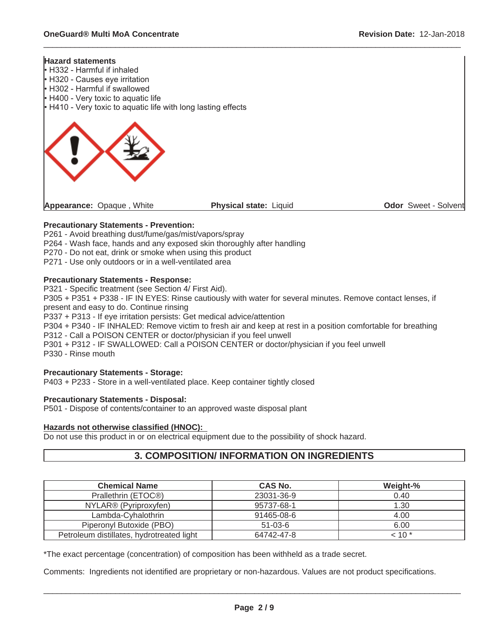

 $\_$  ,  $\_$  ,  $\_$  ,  $\_$  ,  $\_$  ,  $\_$  ,  $\_$  ,  $\_$  ,  $\_$  ,  $\_$  ,  $\_$  ,  $\_$  ,  $\_$  ,  $\_$  ,  $\_$  ,  $\_$  ,  $\_$  ,  $\_$  ,  $\_$  ,  $\_$  ,  $\_$  ,  $\_$  ,  $\_$  ,  $\_$  ,  $\_$  ,  $\_$  ,  $\_$  ,  $\_$  ,  $\_$  ,  $\_$  ,  $\_$  ,  $\_$  ,  $\_$  ,  $\_$  ,  $\_$  ,  $\_$  ,  $\_$  ,

#### **Precautionary Statements - Prevention:**

P261 - Avoid breathing dust/fume/gas/mist/vapors/spray P264 - Wash face, hands and any exposed skin thoroughly after handling

P270 - Do not eat, drink or smoke when using this product

P271 - Use only outdoors or in a well-ventilated area

#### **Precautionary Statements - Response:**

P321 - Specific treatment (see Section 4/ First Aid).

P305 + P351 + P338 - IF IN EYES: Rinse cautiously with water for several minutes. Remove contact lenses, if present and easy to do. Continue rinsing

P337 + P313 - If eye irritation persists: Get medical advice/attention

P304 + P340 - IF INHALED: Remove victim to fresh air and keep at rest in a position comfortable for breathing P312 - Call a POISON CENTER or doctor/physician if you feel unwell

P301 + P312 - IF SWALLOWED: Call a POISON CENTER or doctor/physician if you feel unwell

P330 - Rinse mouth

#### **Precautionary Statements - Storage:**

P403 + P233 - Store in a well-ventilated place. Keep container tightly closed

### **Precautionary Statements - Disposal:**

P501 - Dispose of contents/container to an approved waste disposal plant

#### **Hazards not otherwise classified (HNOC):**

Do not use this product in or on electrical equipment due to the possibility of shock hazard.

### **3. COMPOSITION/ INFORMATION ON INGREDIENTS**

| <b>Chemical Name</b>                      | <b>CAS No.</b> | Weight-%   |
|-------------------------------------------|----------------|------------|
| Prallethrin (ETOC®)                       | 23031-36-9     | 0.40       |
| NYLAR <sup>®</sup> (Pyriproxyfen)         | 95737-68-1     | 1.30       |
| Lambda-Cyhalothrin                        | 91465-08-6     | 4.00       |
| Piperonyl Butoxide (PBO)                  | $51-03-6$      | 6.00       |
| Petroleum distillates, hydrotreated light | 64742-47-8     | $<$ 10 $*$ |

\*The exact percentage (concentration) of composition has been withheld as a trade secret.

Comments: Ingredients not identified are proprietary or non-hazardous. Values are not product specifications.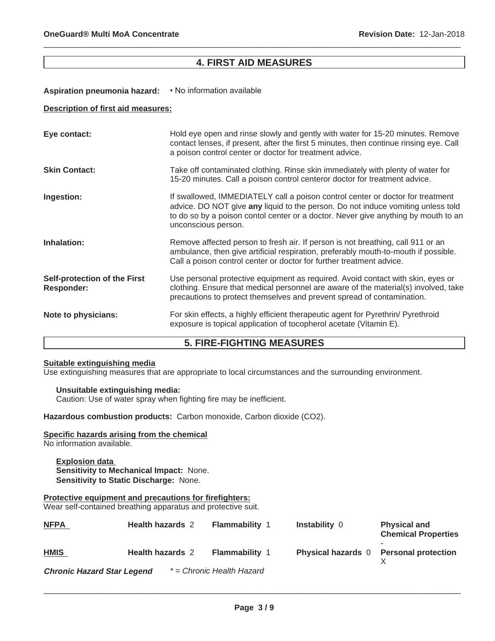### **4. FIRST AID MEASURES**

 $\_$  ,  $\_$  ,  $\_$  ,  $\_$  ,  $\_$  ,  $\_$  ,  $\_$  ,  $\_$  ,  $\_$  ,  $\_$  ,  $\_$  ,  $\_$  ,  $\_$  ,  $\_$  ,  $\_$  ,  $\_$  ,  $\_$  ,  $\_$  ,  $\_$  ,  $\_$  ,  $\_$  ,  $\_$  ,  $\_$  ,  $\_$  ,  $\_$  ,  $\_$  ,  $\_$  ,  $\_$  ,  $\_$  ,  $\_$  ,  $\_$  ,  $\_$  ,  $\_$  ,  $\_$  ,  $\_$  ,  $\_$  ,  $\_$  ,

#### Aspiration pneumonia hazard: • No information available

#### **Description of first aid measures:**

| Eye contact:                                      | Hold eye open and rinse slowly and gently with water for 15-20 minutes. Remove<br>contact lenses, if present, after the first 5 minutes, then continue rinsing eye. Call<br>a poison control center or doctor for treatment advice.                                             |
|---------------------------------------------------|---------------------------------------------------------------------------------------------------------------------------------------------------------------------------------------------------------------------------------------------------------------------------------|
| <b>Skin Contact:</b>                              | Take off contaminated clothing. Rinse skin immediately with plenty of water for<br>15-20 minutes. Call a poison control centeror doctor for treatment advice.                                                                                                                   |
| Ingestion:                                        | If swallowed, IMMEDIATELY call a poison control center or doctor for treatment<br>advice. DO NOT give any liquid to the person. Do not induce vomiting unless told<br>to do so by a poison contol center or a doctor. Never give anything by mouth to an<br>unconscious person. |
| Inhalation:                                       | Remove affected person to fresh air. If person is not breathing, call 911 or an<br>ambulance, then give artificial respiration, preferably mouth-to-mouth if possible.<br>Call a poison control center or doctor for further treatment advice.                                  |
| <b>Self-protection of the First</b><br>Responder: | Use personal protective equipment as required. Avoid contact with skin, eyes or<br>clothing. Ensure that medical personnel are aware of the material(s) involved, take<br>precautions to protect themselves and prevent spread of contamination.                                |
| Note to physicians:                               | For skin effects, a highly efficient therapeutic agent for Pyrethrin/ Pyrethroid<br>exposure is topical application of tocopherol acetate (Vitamin E).                                                                                                                          |

### **5. FIRE-FIGHTING MEASURES**

#### **Suitable extinguishing media**

Use extinguishing measures that are appropriate to local circumstances and the surrounding environment.

#### **Unsuitable extinguishing media:**

Caution: Use of water spray when fighting fire may be inefficient.

**Hazardous combustion products:** Carbon monoxide, Carbon dioxide (CO2).

#### **Specific hazards arising from the chemical**

No information available.

**Explosion data Sensitivity to Mechanical Impact:** None. **Sensitivity to Static Discharge:** None.

#### **Protective equipment and precautions for firefighters:**

Wear self-contained breathing apparatus and protective suit.

| <b>NFPA</b>                       | <b>Health hazards 2</b> | <b>Flammability 1</b>     | <b>Instability 0</b>                   | <b>Physical and</b><br><b>Chemical Properties</b> |
|-----------------------------------|-------------------------|---------------------------|----------------------------------------|---------------------------------------------------|
| <b>HMIS</b>                       | <b>Health hazards 2</b> | <b>Flammability 1</b>     | Physical hazards 0 Personal protection |                                                   |
| <b>Chronic Hazard Star Legend</b> |                         | * = Chronic Health Hazard |                                        |                                                   |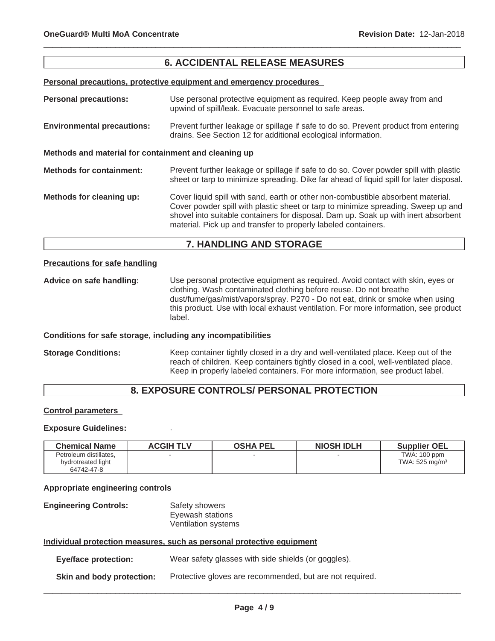### **6. ACCIDENTAL RELEASE MEASURES**

 $\_$  ,  $\_$  ,  $\_$  ,  $\_$  ,  $\_$  ,  $\_$  ,  $\_$  ,  $\_$  ,  $\_$  ,  $\_$  ,  $\_$  ,  $\_$  ,  $\_$  ,  $\_$  ,  $\_$  ,  $\_$  ,  $\_$  ,  $\_$  ,  $\_$  ,  $\_$  ,  $\_$  ,  $\_$  ,  $\_$  ,  $\_$  ,  $\_$  ,  $\_$  ,  $\_$  ,  $\_$  ,  $\_$  ,  $\_$  ,  $\_$  ,  $\_$  ,  $\_$  ,  $\_$  ,  $\_$  ,  $\_$  ,  $\_$  ,

#### **Personal precautions, protective equipment and emergency procedures**

**Personal precautions:** Use personal protective equipment as required. Keep people away from and upwind of spill/leak. Evacuate personnel to safe areas. **Environmental precautions:** Prevent further leakage or spillage if safe to do so. Prevent product from entering drains. See Section 12 for additional ecological information. **Methods and material for containment and cleaning up Methods for containment:** Prevent further leakage or spillage if safe to do so. Cover powder spill with plastic sheet or tarp to minimize spreading. Dike far ahead of liquid spill for later disposal. **Methods for cleaning up:** Cover liquid spill with sand, earth or other non-combustible absorbent material. Cover powder spill with plastic sheet or tarp to minimize spreading. Sweep up and shovel into suitable containers for disposal. Dam up. Soak up with inert absorbent material. Pick up and transfer to properly labeled containers.

### **7. HANDLING AND STORAGE**

#### **Precautions for safe handling**

**Advice on safe handling:** Use personal protective equipment as required. Avoid contact with skin, eyes or clothing. Wash contaminated clothing before reuse. Do not breathe dust/fume/gas/mist/vapors/spray. P270 - Do not eat, drink or smoke when using this product. Use with local exhaust ventilation. For more information, see product label.

#### **Conditions for safe storage, including any incompatibilities**

**Storage Conditions:** Keep container tightly closed in a dry and well-ventilated place. Keep out of the reach of children. Keep containers tightly closed in a cool, well-ventilated place. Keep in properly labeled containers. For more information, see product label.

### **8. EXPOSURE CONTROLS/ PERSONAL PROTECTION**

#### **Control parameters**

#### **Exposure Guidelines:** .

| <b>Chemical Name</b>   | <b>ACGIH TLV</b> | <b>OSHA PEL</b> | <b>NIOSH IDLH</b> | <b>Supplier OEL</b>          |
|------------------------|------------------|-----------------|-------------------|------------------------------|
| Petroleum distillates. |                  |                 |                   | TWA: 100 ppm                 |
| hydrotreated light     |                  |                 |                   | TWA: $525$ mg/m <sup>3</sup> |
| 64742-47-8             |                  |                 |                   |                              |

#### **Appropriate engineering controls**

| <b>Engineering Controls:</b> | Safety showers      |
|------------------------------|---------------------|
|                              | Eyewash stations    |
|                              | Ventilation systems |

#### **Individual protection measures, such as personal protective equipment**

**Eye/face protection:** Wear safety glasses with side shields (or goggles).

**Skin and body protection:** Protective gloves are recommended, but are not required.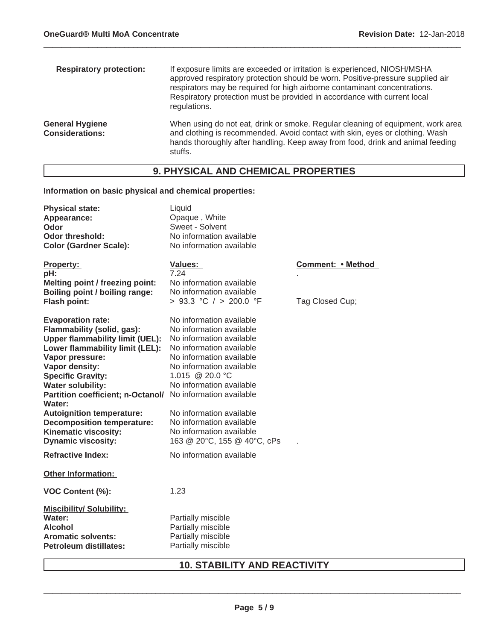| <b>Respiratory protection:</b>                   | If exposure limits are exceeded or irritation is experienced, NIOSH/MSHA<br>approved respiratory protection should be worn. Positive-pressure supplied air<br>respirators may be required for high airborne contaminant concentrations.<br>Respiratory protection must be provided in accordance with current local<br>regulations. |
|--------------------------------------------------|-------------------------------------------------------------------------------------------------------------------------------------------------------------------------------------------------------------------------------------------------------------------------------------------------------------------------------------|
| <b>General Hygiene</b><br><b>Considerations:</b> | When using do not eat, drink or smoke. Regular cleaning of equipment, work area<br>and clothing is recommended. Avoid contact with skin, eyes or clothing. Wash<br>hands thoroughly after handling. Keep away from food, drink and animal feeding<br>stuffs.                                                                        |

 $\_$  ,  $\_$  ,  $\_$  ,  $\_$  ,  $\_$  ,  $\_$  ,  $\_$  ,  $\_$  ,  $\_$  ,  $\_$  ,  $\_$  ,  $\_$  ,  $\_$  ,  $\_$  ,  $\_$  ,  $\_$  ,  $\_$  ,  $\_$  ,  $\_$  ,  $\_$  ,  $\_$  ,  $\_$  ,  $\_$  ,  $\_$  ,  $\_$  ,  $\_$  ,  $\_$  ,  $\_$  ,  $\_$  ,  $\_$  ,  $\_$  ,  $\_$  ,  $\_$  ,  $\_$  ,  $\_$  ,  $\_$  ,  $\_$  ,

### **9. PHYSICAL AND CHEMICAL PROPERTIES**

### **Information on basic physical and chemical properties:**

| <b>Physical state:</b><br>Appearance:<br>Odor<br>Odor threshold:<br><b>Color (Gardner Scale):</b>                                                                                                                                                                                                                                                                                                               | Liquid<br>Opaque, White<br>Sweet - Solvent<br>No information available<br>No information available                                                                                                                                                                                                    |                   |
|-----------------------------------------------------------------------------------------------------------------------------------------------------------------------------------------------------------------------------------------------------------------------------------------------------------------------------------------------------------------------------------------------------------------|-------------------------------------------------------------------------------------------------------------------------------------------------------------------------------------------------------------------------------------------------------------------------------------------------------|-------------------|
| <b>Property:</b><br>pH:<br>Melting point / freezing point:<br><b>Boiling point / boiling range:</b>                                                                                                                                                                                                                                                                                                             | <b>Values:</b><br>7.24<br>No information available<br>No information available                                                                                                                                                                                                                        | Comment: • Method |
| <b>Flash point:</b><br><b>Evaporation rate:</b><br>Flammability (solid, gas):<br><b>Upper flammability limit (UEL):</b><br>Lower flammability limit (LEL):<br>Vapor pressure:<br>Vapor density:<br><b>Specific Gravity:</b><br><b>Water solubility:</b><br>Partition coefficient; n-Octanol/ No information available<br><b>Water:</b><br><b>Autoignition temperature:</b><br><b>Decomposition temperature:</b> | > 93.3 °C / > 200.0 °F<br>No information available<br>No information available<br>No information available<br>No information available<br>No information available<br>No information available<br>1.015 @ 20.0 °C<br>No information available<br>No information available<br>No information available | Tag Closed Cup;   |
| Kinematic viscosity:<br><b>Dynamic viscosity:</b>                                                                                                                                                                                                                                                                                                                                                               | No information available<br>163 @ 20°C, 155 @ 40°C, cPs                                                                                                                                                                                                                                               |                   |
| <b>Refractive Index:</b><br><b>Other Information:</b>                                                                                                                                                                                                                                                                                                                                                           | No information available                                                                                                                                                                                                                                                                              |                   |
| <b>VOC Content (%):</b>                                                                                                                                                                                                                                                                                                                                                                                         | 1.23                                                                                                                                                                                                                                                                                                  |                   |
| <b>Miscibility/ Solubility:</b><br><b>Water:</b><br><b>Alcohol</b><br><b>Aromatic solvents:</b><br><b>Petroleum distillates:</b>                                                                                                                                                                                                                                                                                | Partially miscible<br>Partially miscible<br>Partially miscible<br>Partially miscible                                                                                                                                                                                                                  |                   |

## **10. STABILITY AND REACTIVITY**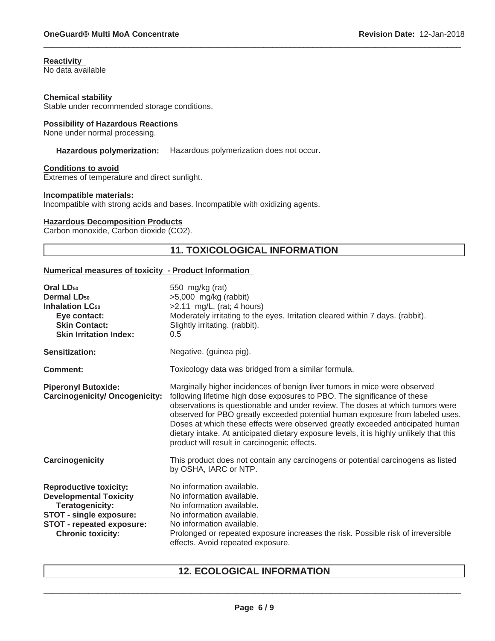### **Reactivity**

No data available

#### **Chemical stability**

Stable under recommended storage conditions.

#### **Possibility of Hazardous Reactions**

None under normal processing.

#### **Hazardous polymerization:** Hazardous polymerization does not occur.

#### **Conditions to avoid**

Extremes of temperature and direct sunlight.

#### **Incompatible materials:**

Incompatible with strong acids and bases. Incompatible with oxidizing agents.

#### **Hazardous Decomposition Products**

Carbon monoxide, Carbon dioxide (CO2).

### **11. TOXICOLOGICAL INFORMATION**

 $\_$  ,  $\_$  ,  $\_$  ,  $\_$  ,  $\_$  ,  $\_$  ,  $\_$  ,  $\_$  ,  $\_$  ,  $\_$  ,  $\_$  ,  $\_$  ,  $\_$  ,  $\_$  ,  $\_$  ,  $\_$  ,  $\_$  ,  $\_$  ,  $\_$  ,  $\_$  ,  $\_$  ,  $\_$  ,  $\_$  ,  $\_$  ,  $\_$  ,  $\_$  ,  $\_$  ,  $\_$  ,  $\_$  ,  $\_$  ,  $\_$  ,  $\_$  ,  $\_$  ,  $\_$  ,  $\_$  ,  $\_$  ,  $\_$  ,

#### **Numerical measures of toxicity - Product Information**

| Oral LD <sub>50</sub><br>Dermal LD <sub>50</sub><br><b>Inhalation LC<sub>50</sub></b><br>Eye contact:<br><b>Skin Contact:</b><br><b>Skin Irritation Index:</b>               | 550 mg/kg (rat)<br>$>5,000$ mg/kg (rabbit)<br>$>2.11$ mg/L, (rat; 4 hours)<br>Moderately irritating to the eyes. Irritation cleared within 7 days. (rabbit).<br>Slightly irritating. (rabbit).<br>0.5                                                                                                                                                                                                                                                                                                                                               |
|------------------------------------------------------------------------------------------------------------------------------------------------------------------------------|-----------------------------------------------------------------------------------------------------------------------------------------------------------------------------------------------------------------------------------------------------------------------------------------------------------------------------------------------------------------------------------------------------------------------------------------------------------------------------------------------------------------------------------------------------|
| Sensitization:                                                                                                                                                               | Negative. (guinea pig).                                                                                                                                                                                                                                                                                                                                                                                                                                                                                                                             |
| Comment:                                                                                                                                                                     | Toxicology data was bridged from a similar formula.                                                                                                                                                                                                                                                                                                                                                                                                                                                                                                 |
| <b>Piperonyl Butoxide:</b><br><b>Carcinogenicity/ Oncogenicity:</b>                                                                                                          | Marginally higher incidences of benign liver tumors in mice were observed<br>following lifetime high dose exposures to PBO. The significance of these<br>observations is questionable and under review. The doses at which tumors were<br>observed for PBO greatly exceeded potential human exposure from labeled uses.<br>Doses at which these effects were observed greatly exceeded anticipated human<br>dietary intake. At anticipated dietary exposure levels, it is highly unlikely that this<br>product will result in carcinogenic effects. |
| Carcinogenicity                                                                                                                                                              | This product does not contain any carcinogens or potential carcinogens as listed<br>by OSHA, IARC or NTP.                                                                                                                                                                                                                                                                                                                                                                                                                                           |
| <b>Reproductive toxicity:</b><br><b>Developmental Toxicity</b><br>Teratogenicity:<br><b>STOT - single exposure:</b><br>STOT - repeated exposure:<br><b>Chronic toxicity:</b> | No information available.<br>No information available.<br>No information available.<br>No information available.<br>No information available.<br>Prolonged or repeated exposure increases the risk. Possible risk of irreversible<br>effects. Avoid repeated exposure.                                                                                                                                                                                                                                                                              |

### **12. ECOLOGICAL INFORMATION**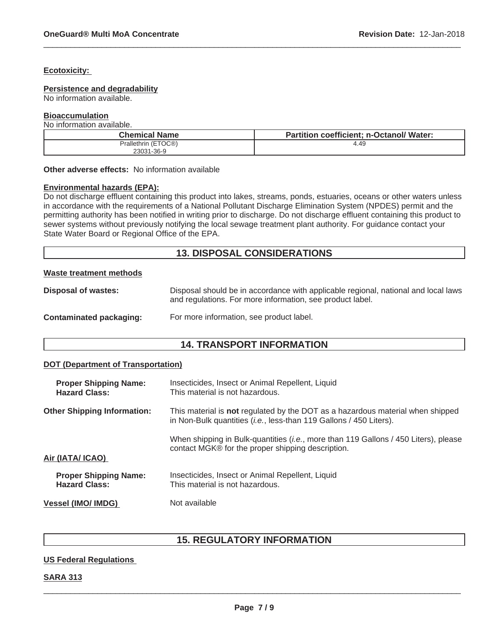#### **Ecotoxicity:**

#### **Persistence and degradability**

No information available.

#### **Bioaccumulation**

No information available.

| Chemical Name       | <b>Partition coefficient: n-Octanol/ Water:</b> |
|---------------------|-------------------------------------------------|
| Prallethrin (ETOC®) | 4.49                                            |
| 23031-36-9          |                                                 |

 $\_$  ,  $\_$  ,  $\_$  ,  $\_$  ,  $\_$  ,  $\_$  ,  $\_$  ,  $\_$  ,  $\_$  ,  $\_$  ,  $\_$  ,  $\_$  ,  $\_$  ,  $\_$  ,  $\_$  ,  $\_$  ,  $\_$  ,  $\_$  ,  $\_$  ,  $\_$  ,  $\_$  ,  $\_$  ,  $\_$  ,  $\_$  ,  $\_$  ,  $\_$  ,  $\_$  ,  $\_$  ,  $\_$  ,  $\_$  ,  $\_$  ,  $\_$  ,  $\_$  ,  $\_$  ,  $\_$  ,  $\_$  ,  $\_$  ,

**Other adverse effects:** No information available

#### **Environmental hazards (EPA):**

Do not discharge effluent containing this product into lakes, streams, ponds, estuaries, oceans or other waters unless in accordance with the requirements of a National Pollutant Discharge Elimination System (NPDES) permit and the permitting authority has been notified in writing prior to discharge. Do not discharge effluent containing this product to sewer systems without previously notifying the local sewage treatment plant authority. For guidance contact your State Water Board or Regional Office of the EPA.

### **13. DISPOSAL CONSIDERATIONS**

#### **Waste treatment methods**

| <b>Disposal of wastes:</b> | Disposal should be in accordance with applicable regional, national and local laws |
|----------------------------|------------------------------------------------------------------------------------|
|                            | and regulations. For more information, see product label.                          |
|                            |                                                                                    |

#### **Contaminated packaging:** For more information, see product label.

### **14. TRANSPORT INFORMATION**

#### **DOT (Department of Transportation)**

| <b>Proper Shipping Name:</b><br><b>Hazard Class:</b> | Insecticides, Insect or Animal Repellent, Liquid<br>This material is not hazardous.                                                                                  |  |
|------------------------------------------------------|----------------------------------------------------------------------------------------------------------------------------------------------------------------------|--|
| <b>Other Shipping Information:</b>                   | This material is <b>not</b> regulated by the DOT as a hazardous material when shipped<br>in Non-Bulk quantities ( <i>i.e.</i> , less-than 119 Gallons / 450 Liters). |  |
| Air (IATA/ ICAO)                                     | When shipping in Bulk-quantities ( <i>i.e.</i> , more than 119 Gallons / 450 Liters), please<br>contact MGK® for the proper shipping description.                    |  |
| <b>Proper Shipping Name:</b><br><b>Hazard Class:</b> | Insecticides, Insect or Animal Repellent, Liquid<br>This material is not hazardous.                                                                                  |  |
| <b>Vessel (IMO/ IMDG)</b>                            | Not available                                                                                                                                                        |  |

### **15. REGULATORY INFORMATION**

#### **US Federal Regulations**

#### **SARA 313**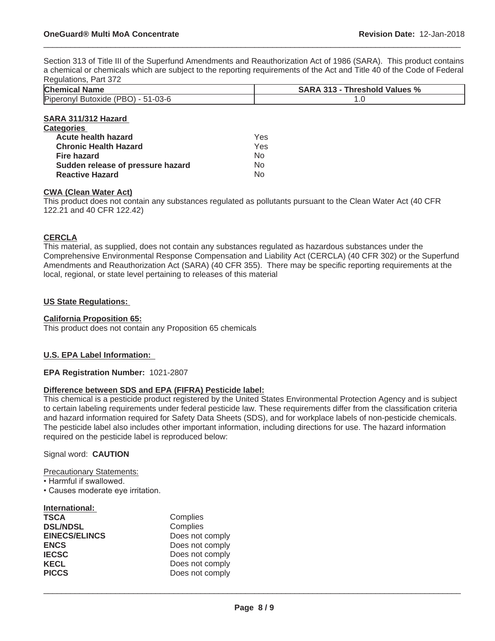Section 313 of Title III of the Superfund Amendments and Reauthorization Act of 1986 (SARA). This product contains a chemical or chemicals which are subject to the reporting requirements of the Act and Title 40 of the Code of Federal Regulations, Part 372

 $\_$  ,  $\_$  ,  $\_$  ,  $\_$  ,  $\_$  ,  $\_$  ,  $\_$  ,  $\_$  ,  $\_$  ,  $\_$  ,  $\_$  ,  $\_$  ,  $\_$  ,  $\_$  ,  $\_$  ,  $\_$  ,  $\_$  ,  $\_$  ,  $\_$  ,  $\_$  ,  $\_$  ,  $\_$  ,  $\_$  ,  $\_$  ,  $\_$  ,  $\_$  ,  $\_$  ,  $\_$  ,  $\_$  ,  $\_$  ,  $\_$  ,  $\_$  ,  $\_$  ,  $\_$  ,  $\_$  ,  $\_$  ,  $\_$  ,

| $I\cup \sigma$ yulativita, Falt <i>JI</i> Z |                                      |
|---------------------------------------------|--------------------------------------|
| <b>Chemical Name</b>                        | <b>SARA 313 - Threshold Values %</b> |
| Piper<br>$51 - 03 - 6$<br><b>PRU</b><br>But |                                      |

#### **SARA 311/312 Hazard Categories Acute health hazard** Yes **Chronic Health Hazard Yes Fire hazard** No **Sudden release of pressure hazard** No **Reactive Hazard** No. No.

### **CWA (Clean Water Act)**

This product does not contain any substances regulated as pollutants pursuant to the Clean Water Act (40 CFR 122.21 and 40 CFR 122.42)

#### **CERCLA**

This material, as supplied, does not contain any substances regulated as hazardous substances under the Comprehensive Environmental Response Compensation and Liability Act (CERCLA) (40 CFR 302) or the Superfund Amendments and Reauthorization Act (SARA) (40 CFR 355). There may be specific reporting requirements at the local, regional, or state level pertaining to releases of this material

#### **US State Regulations:**

#### **California Proposition 65:**

This product does not contain any Proposition 65 chemicals

#### **U.S. EPA Label Information:**

#### **EPA Registration Number:** 1021-2807

#### **Difference between SDS and EPA (FIFRA) Pesticide label:**

This chemical is a pesticide product registered by the United States Environmental Protection Agency and is subject to certain labeling requirements under federal pesticide law. These requirements differ from the classification criteria and hazard information required for Safety Data Sheets (SDS), and for workplace labels of non-pesticide chemicals. The pesticide label also includes other important information, including directions for use. The hazard information required on the pesticide label is reproduced below:

#### Signal word: **CAUTION**

Precautionary Statements:

- Harmful if swallowed.
- Causes moderate eye irritation.

| International:       |                 |
|----------------------|-----------------|
| <b>TSCA</b>          | Complies        |
| <b>DSL/NDSL</b>      | Complies        |
| <b>EINECS/ELINCS</b> | Does not comply |
| <b>ENCS</b>          | Does not comply |
| <b>IECSC</b>         | Does not comply |
| <b>KECL</b>          | Does not comply |
| <b>PICCS</b>         | Does not comply |
|                      |                 |